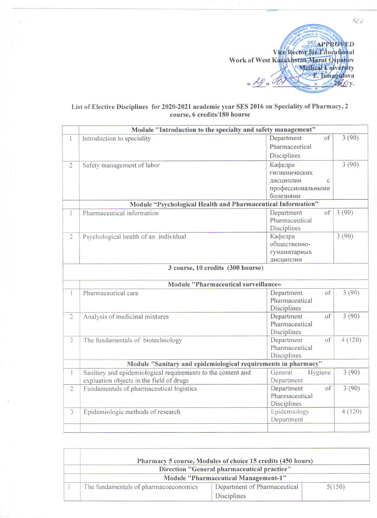

## **List of Elective Disciplines for 2020-2021 academic year SES 2016 on Speciality of Pharmacy, 2 course, 6 credits/180 bourse**

|                | Module "Introduction to the specialty and safety management"                                             |                                                                              |        |
|----------------|----------------------------------------------------------------------------------------------------------|------------------------------------------------------------------------------|--------|
| $\mathbf{1}$   | Introduction to speciality                                                                               | Department<br>of<br>Pharmaceutical<br>Disciplines                            | 3(90)  |
| $\overline{2}$ | Safety management of labor                                                                               | Кафедра<br>гигиенических<br>дисциплин<br>C<br>профессиональными<br>болезнями | 3(90)  |
|                | Module "Psychological Health and Pharmaceutical Information"                                             |                                                                              |        |
| $\mathbf{1}$   | Pharmaceutical information                                                                               | Department<br>of<br>Pharmaceutical<br>Disciplines                            | 3(90)  |
| $\overline{c}$ | Psychological health of an individual                                                                    | Кафедра<br>общественно-<br>гуманитарных<br>дисциплин                         | 3(90)  |
|                | 3 course, 10 credits (300 hourse)<br>Module "Pharmaceutical surveillance»                                |                                                                              |        |
| $\mathbf{1}$   | Pharmaceutical care                                                                                      | Department<br>of<br>Pharmaceutical<br>Disciplines                            | 3(90)  |
| $\overline{c}$ | Analysis of medicinal mixtures                                                                           | Department<br>of<br>Pharmaceutical<br>Disciplines                            | 3(90)  |
| 3              | The fundamentals of biotechnology                                                                        | Department<br>of<br>Pharmaceutical<br>Disciplines                            | 4(120) |
|                | Module "Sanitary and epidemiological requirements in pharmacy"                                           |                                                                              |        |
| $\mathbf{1}$   | Sanitary and epidemiological requirements to the content and<br>expluation objects in the field of drugs | General<br>Hygiene<br>Department                                             | 3(90)  |
| $\overline{2}$ | Fundamentals of pharmaceutical logistics                                                                 | Department<br>of<br>Pharmaceutical<br>Disciplines                            | 3(90)  |
| $\overline{3}$ | Epidemiologic methods of research                                                                        | Epidemiology<br>Department                                                   | 4(120) |
|                |                                                                                                          |                                                                              |        |

|  |                                                                                     | Pharmacy 5 course, Modules of choice 15 credits (450 hours) |        |  |  |
|--|-------------------------------------------------------------------------------------|-------------------------------------------------------------|--------|--|--|
|  | Direction "General pharmaceutical practice"<br>Module "Pharmaceutical Management-1" |                                                             |        |  |  |
|  |                                                                                     |                                                             |        |  |  |
|  | The fundamentals of pharmacoeconomics                                               | Department of Pharmaceutical                                | 5(150) |  |  |
|  |                                                                                     | Disciplines                                                 |        |  |  |